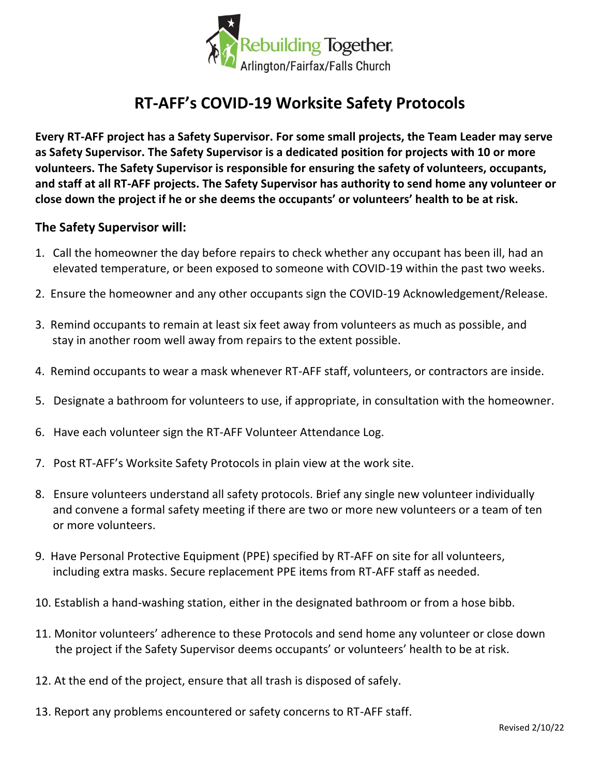

## **RT-AFF's COVID-19 Worksite Safety Protocols**

**Every RT-AFF project has a Safety Supervisor. For some small projects, the Team Leader may serve as Safety Supervisor. The Safety Supervisor is a dedicated position for projects with 10 or more volunteers. The Safety Supervisor is responsible for ensuring the safety of volunteers, occupants, and staff at all RT-AFF projects. The Safety Supervisor has authority to send home any volunteer or close down the project if he or she deems the occupants' or volunteers' health to be at risk.** 

## **The Safety Supervisor will:**

- 1. Call the homeowner the day before repairs to check whether any occupant has been ill, had an elevated temperature, or been exposed to someone with COVID-19 within the past two weeks.
- 2. Ensure the homeowner and any other occupants sign the COVID-19 Acknowledgement/Release.
- 3. Remind occupants to remain at least six feet away from volunteers as much as possible, and stay in another room well away from repairs to the extent possible.
- 4. Remind occupants to wear a mask whenever RT-AFF staff, volunteers, or contractors are inside.
- 5. Designate a bathroom for volunteers to use, if appropriate, in consultation with the homeowner.
- 6. Have each volunteer sign the RT-AFF Volunteer Attendance Log.
- 7. Post RT-AFF's Worksite Safety Protocols in plain view at the work site.
- 8. Ensure volunteers understand all safety protocols. Brief any single new volunteer individually and convene a formal safety meeting if there are two or more new volunteers or a team of ten or more volunteers.
- 9. Have Personal Protective Equipment (PPE) specified by RT-AFF on site for all volunteers, including extra masks. Secure replacement PPE items from RT-AFF staff as needed.
- 10. Establish a hand-washing station, either in the designated bathroom or from a hose bibb.
- 11. Monitor volunteers' adherence to these Protocols and send home any volunteer or close down the project if the Safety Supervisor deems occupants' or volunteers' health to be at risk.
- 12. At the end of the project, ensure that all trash is disposed of safely.
- 13. Report any problems encountered or safety concerns to RT-AFF staff.